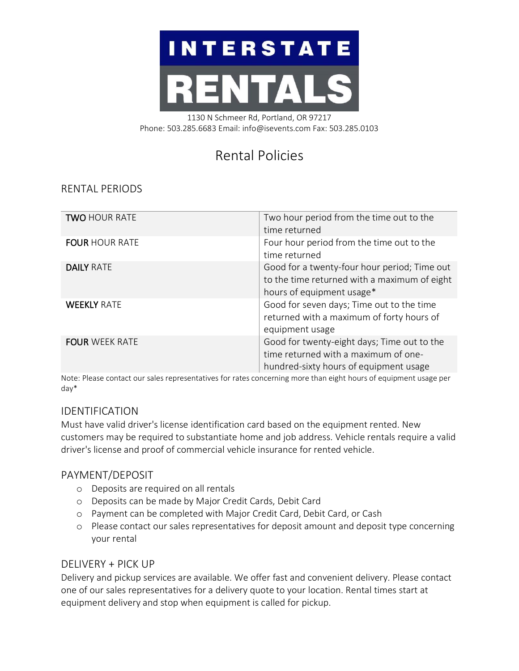# **INTERSTATE** RENTA

1130 N Schmeer Rd, Portland, OR 97217 Phone: 503.285.6683 Email: info@isevents.com Fax: 503.285.0103

# Rental Policies

## RENTAL PERIODS

| <b>TWO HOUR RATE</b>  | Two hour period from the time out to the<br>time returned                                                                     |
|-----------------------|-------------------------------------------------------------------------------------------------------------------------------|
| <b>FOUR HOUR RATE</b> | Four hour period from the time out to the<br>time returned                                                                    |
| <b>DAILY RATE</b>     | Good for a twenty-four hour period; Time out<br>to the time returned with a maximum of eight<br>hours of equipment usage*     |
| <b>WEEKLY RATE</b>    | Good for seven days; Time out to the time<br>returned with a maximum of forty hours of<br>equipment usage                     |
| <b>FOUR WEEK RATE</b> | Good for twenty-eight days; Time out to the<br>time returned with a maximum of one-<br>hundred-sixty hours of equipment usage |

Note: Please contact our sales representatives for rates concerning more than eight hours of equipment usage per day\*

### IDENTIFICATION

Must have valid driver's license identification card based on the equipment rented. New customers may be required to substantiate home and job address. Vehicle rentals require a valid driver's license and proof of commercial vehicle insurance for rented vehicle.

#### PAYMENT/DEPOSIT

- o Deposits are required on all rentals
- o Deposits can be made by Major Credit Cards, Debit Card
- o Payment can be completed with Major Credit Card, Debit Card, or Cash
- o Please contact our sales representatives for deposit amount and deposit type concerning your rental

#### DELIVERY + PICK UP

Delivery and pickup services are available. We offer fast and convenient delivery. Please contact one of our sales representatives for a delivery quote to your location. Rental times start at equipment delivery and stop when equipment is called for pickup.